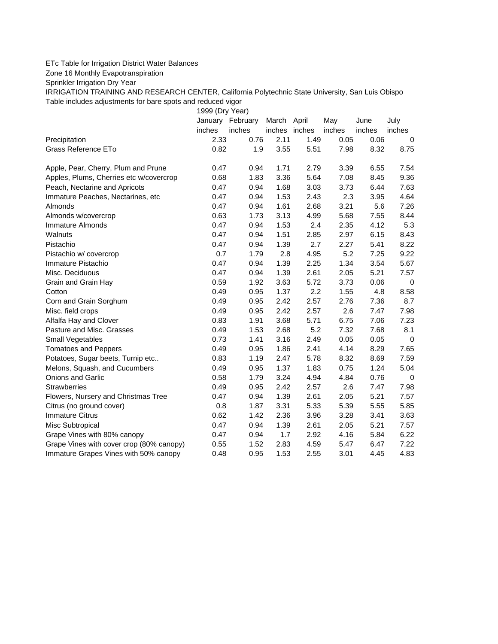## ETc Table for Irrigation District Water Balances

Zone 16 Monthly Evapotranspiration

Sprinkler Irrigation Dry Year

IRRIGATION TRAINING AND RESEARCH CENTER, California Polytechnic State University, San Luis Obispo Table includes adjustments for bare spots and reduced vigor

1999 (Dry Year)

|                                          |        | January February | March  | April  | May    | June   | July        |
|------------------------------------------|--------|------------------|--------|--------|--------|--------|-------------|
|                                          | inches | inches           | inches | inches | inches | inches | inches      |
| Precipitation                            | 2.33   | 0.76             | 2.11   | 1.49   | 0.05   | 0.06   | 0           |
| Grass Reference ETo                      | 0.82   | 1.9              | 3.55   | 5.51   | 7.98   | 8.32   | 8.75        |
| Apple, Pear, Cherry, Plum and Prune      | 0.47   | 0.94             | 1.71   | 2.79   | 3.39   | 6.55   | 7.54        |
| Apples, Plums, Cherries etc w/covercrop  | 0.68   | 1.83             | 3.36   | 5.64   | 7.08   | 8.45   | 9.36        |
| Peach, Nectarine and Apricots            | 0.47   | 0.94             | 1.68   | 3.03   | 3.73   | 6.44   | 7.63        |
| Immature Peaches, Nectarines, etc        | 0.47   | 0.94             | 1.53   | 2.43   | 2.3    | 3.95   | 4.64        |
| Almonds                                  | 0.47   | 0.94             | 1.61   | 2.68   | 3.21   | 5.6    | 7.26        |
| Almonds w/covercrop                      | 0.63   | 1.73             | 3.13   | 4.99   | 5.68   | 7.55   | 8.44        |
| Immature Almonds                         | 0.47   | 0.94             | 1.53   | 2.4    | 2.35   | 4.12   | 5.3         |
| Walnuts                                  | 0.47   | 0.94             | 1.51   | 2.85   | 2.97   | 6.15   | 8.43        |
| Pistachio                                | 0.47   | 0.94             | 1.39   | 2.7    | 2.27   | 5.41   | 8.22        |
| Pistachio w/ covercrop                   | 0.7    | 1.79             | 2.8    | 4.95   | 5.2    | 7.25   | 9.22        |
| Immature Pistachio                       | 0.47   | 0.94             | 1.39   | 2.25   | 1.34   | 3.54   | 5.67        |
| Misc. Deciduous                          | 0.47   | 0.94             | 1.39   | 2.61   | 2.05   | 5.21   | 7.57        |
| Grain and Grain Hay                      | 0.59   | 1.92             | 3.63   | 5.72   | 3.73   | 0.06   | $\mathbf 0$ |
| Cotton                                   | 0.49   | 0.95             | 1.37   | 2.2    | 1.55   | 4.8    | 8.58        |
| Corn and Grain Sorghum                   | 0.49   | 0.95             | 2.42   | 2.57   | 2.76   | 7.36   | 8.7         |
| Misc. field crops                        | 0.49   | 0.95             | 2.42   | 2.57   | 2.6    | 7.47   | 7.98        |
| Alfalfa Hay and Clover                   | 0.83   | 1.91             | 3.68   | 5.71   | 6.75   | 7.06   | 7.23        |
| Pasture and Misc. Grasses                | 0.49   | 1.53             | 2.68   | 5.2    | 7.32   | 7.68   | 8.1         |
| Small Vegetables                         | 0.73   | 1.41             | 3.16   | 2.49   | 0.05   | 0.05   | 0           |
| <b>Tomatoes and Peppers</b>              | 0.49   | 0.95             | 1.86   | 2.41   | 4.14   | 8.29   | 7.65        |
| Potatoes, Sugar beets, Turnip etc        | 0.83   | 1.19             | 2.47   | 5.78   | 8.32   | 8.69   | 7.59        |
| Melons, Squash, and Cucumbers            | 0.49   | 0.95             | 1.37   | 1.83   | 0.75   | 1.24   | 5.04        |
| <b>Onions and Garlic</b>                 | 0.58   | 1.79             | 3.24   | 4.94   | 4.84   | 0.76   | $\mathbf 0$ |
| <b>Strawberries</b>                      | 0.49   | 0.95             | 2.42   | 2.57   | 2.6    | 7.47   | 7.98        |
| Flowers, Nursery and Christmas Tree      | 0.47   | 0.94             | 1.39   | 2.61   | 2.05   | 5.21   | 7.57        |
| Citrus (no ground cover)                 | 0.8    | 1.87             | 3.31   | 5.33   | 5.39   | 5.55   | 5.85        |
| <b>Immature Citrus</b>                   | 0.62   | 1.42             | 2.36   | 3.96   | 3.28   | 3.41   | 3.63        |
| Misc Subtropical                         | 0.47   | 0.94             | 1.39   | 2.61   | 2.05   | 5.21   | 7.57        |
| Grape Vines with 80% canopy              | 0.47   | 0.94             | 1.7    | 2.92   | 4.16   | 5.84   | 6.22        |
| Grape Vines with cover crop (80% canopy) | 0.55   | 1.52             | 2.83   | 4.59   | 5.47   | 6.47   | 7.22        |
| Immature Grapes Vines with 50% canopy    | 0.48   | 0.95             | 1.53   | 2.55   | 3.01   | 4.45   | 4.83        |